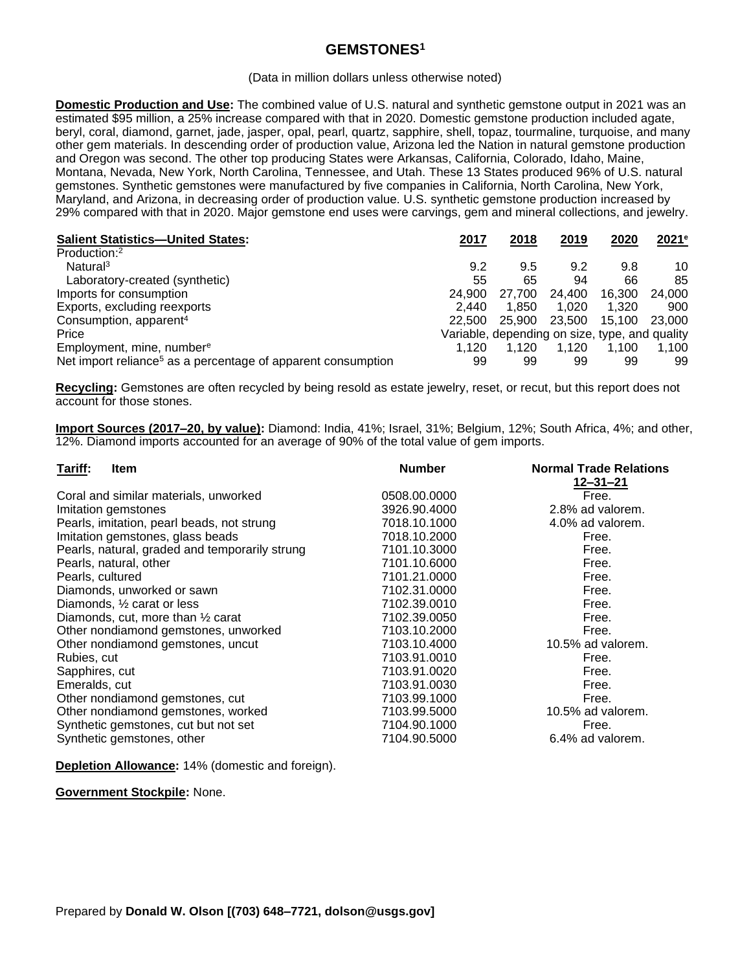## **GEMSTONES<sup>1</sup>**

## (Data in million dollars unless otherwise noted)

**Domestic Production and Use:** The combined value of U.S. natural and synthetic gemstone output in 2021 was an estimated \$95 million, a 25% increase compared with that in 2020. Domestic gemstone production included agate, beryl, coral, diamond, garnet, jade, jasper, opal, pearl, quartz, sapphire, shell, topaz, tourmaline, turquoise, and many other gem materials. In descending order of production value, Arizona led the Nation in natural gemstone production and Oregon was second. The other top producing States were Arkansas, California, Colorado, Idaho, Maine, Montana, Nevada, New York, North Carolina, Tennessee, and Utah. These 13 States produced 96% of U.S. natural gemstones. Synthetic gemstones were manufactured by five companies in California, North Carolina, New York, Maryland, and Arizona, in decreasing order of production value. U.S. synthetic gemstone production increased by 29% compared with that in 2020. Major gemstone end uses were carvings, gem and mineral collections, and jewelry.

| <b>Salient Statistics-United States:</b>                                 | 2017   | 2018                                           | 2019   | 2020   | 2021e  |
|--------------------------------------------------------------------------|--------|------------------------------------------------|--------|--------|--------|
| Production: <sup>2</sup>                                                 |        |                                                |        |        |        |
| Natural <sup>3</sup>                                                     | 9.2    | 9.5                                            | 9.2    | 9.8    | 10     |
| Laboratory-created (synthetic)                                           | 55     | 65                                             | 94     | 66     | 85     |
| Imports for consumption                                                  | 24.900 | 27.700                                         | 24.400 | 16.300 | 24.000 |
| Exports, excluding reexports                                             | 2.440  | 1.850                                          | 1.020  | 1.320  | 900    |
| Consumption, apparent <sup>4</sup>                                       | 22,500 | 25,900                                         | 23.500 | 15.100 | 23,000 |
| Price                                                                    |        | Variable, depending on size, type, and quality |        |        |        |
| Employment, mine, number <sup>e</sup>                                    | 1.120  | 1.120                                          | 1.120  | 1.100  | 1,100  |
| Net import reliance <sup>5</sup> as a percentage of apparent consumption | 99     | 99                                             | 99     | 99     | 99     |

**Recycling:** Gemstones are often recycled by being resold as estate jewelry, reset, or recut, but this report does not account for those stones.

**Import Sources (2017–20, by value):** Diamond: India, 41%; Israel, 31%; Belgium, 12%; South Africa, 4%; and other, 12%. Diamond imports accounted for an average of 90% of the total value of gem imports.

| <b>Number</b> | <b>Normal Trade Relations</b> |
|---------------|-------------------------------|
|               | $12 - 31 - 21$                |
| 0508.00.0000  | Free.                         |
| 3926.90.4000  | 2.8% ad valorem.              |
| 7018.10.1000  | 4.0% ad valorem.              |
| 7018.10.2000  | Free.                         |
| 7101.10.3000  | Free.                         |
| 7101.10.6000  | Free.                         |
| 7101.21.0000  | Free.                         |
| 7102.31.0000  | Free.                         |
| 7102.39.0010  | Free.                         |
| 7102.39.0050  | Free.                         |
| 7103.10.2000  | Free.                         |
| 7103.10.4000  | 10.5% ad valorem.             |
| 7103.91.0010  | Free.                         |
| 7103.91.0020  | Free.                         |
| 7103.91.0030  | Free.                         |
| 7103.99.1000  | Free.                         |
| 7103.99.5000  | 10.5% ad valorem.             |
| 7104.90.1000  | Free.                         |
| 7104.90.5000  | 6.4% ad valorem.              |
|               |                               |

**Depletion Allowance:** 14% (domestic and foreign).

**Government Stockpile:** None.